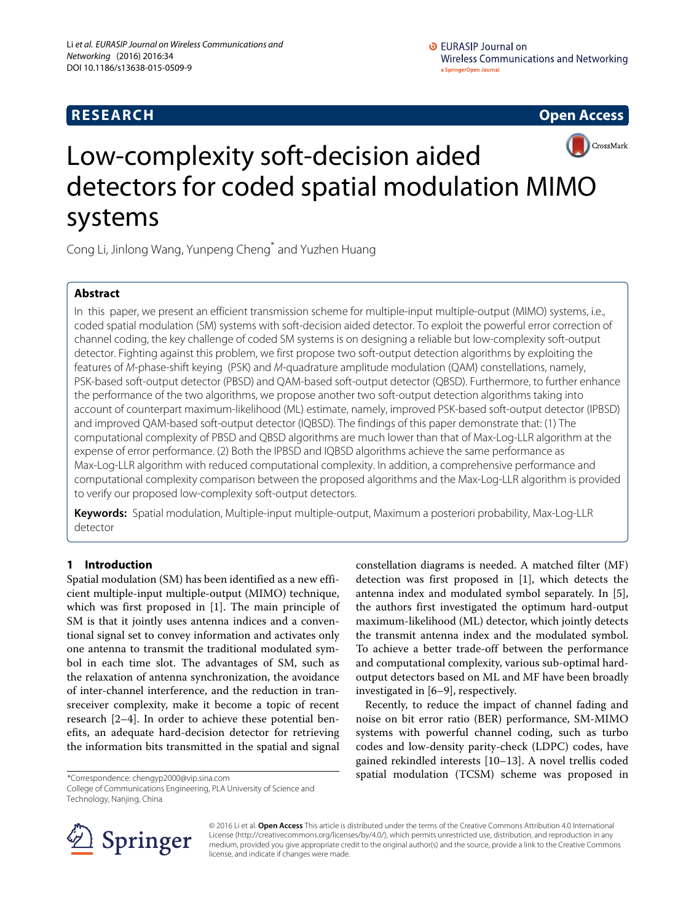# **RESEARCH Open Access**



# Low-complexity soft-decision aided detectors for coded spatial modulation MIMO systems

Cong Li, Jinlong Wang, Yunpeng Cheng\* and Yuzhen Huang

# **Abstract**

In this paper, we present an efficient transmission scheme for multiple-input multiple-output (MIMO) systems, i.e., coded spatial modulation (SM) systems with soft-decision aided detector. To exploit the powerful error correction of channel coding, the key challenge of coded SM systems is on designing a reliable but low-complexity soft-output detector. Fighting against this problem, we first propose two soft-output detection algorithms by exploiting the features of M-phase-shift keying (PSK) and M-quadrature amplitude modulation (QAM) constellations, namely, PSK-based soft-output detector (PBSD) and QAM-based soft-output detector (QBSD). Furthermore, to further enhance the performance of the two algorithms, we propose another two soft-output detection algorithms taking into account of counterpart maximum-likelihood (ML) estimate, namely, improved PSK-based soft-output detector (IPBSD) and improved QAM-based soft-output detector (IQBSD). The findings of this paper demonstrate that: (1) The computational complexity of PBSD and QBSD algorithms are much lower than that of Max-Log-LLR algorithm at the expense of error performance. (2) Both the IPBSD and IQBSD algorithms achieve the same performance as Max-Log-LLR algorithm with reduced computational complexity. In addition, a comprehensive performance and computational complexity comparison between the proposed algorithms and the Max-Log-LLR algorithm is provided to verify our proposed low-complexity soft-output detectors.

**Keywords:** Spatial modulation, Multiple-input multiple-output, Maximum a posteriori probability, Max-Log-LLR detector

# **1 Introduction**

Spatial modulation (SM) has been identified as a new efficient multiple-input multiple-output (MIMO) technique, which was first proposed in [\[1\]](#page-9-0). The main principle of SM is that it jointly uses antenna indices and a conventional signal set to convey information and activates only one antenna to transmit the traditional modulated symbol in each time slot. The advantages of SM, such as the relaxation of antenna synchronization, the avoidance of inter-channel interference, and the reduction in transreceiver complexity, make it become a topic of recent research [\[2](#page-9-1)[–4\]](#page--1-0). In order to achieve these potential benefits, an adequate hard-decision detector for retrieving the information bits transmitted in the spatial and signal

\*Correspondence: [chengyp2000@vip.sina.com](mailto: chengyp2000@vip.sina.com)

College of Communications Engineering, PLA University of Science and Technology, Nanjing, China

constellation diagrams is needed. A matched filter (MF) detection was first proposed in [\[1\]](#page-9-0), which detects the antenna index and modulated symbol separately. In [\[5\]](#page--1-1), the authors first investigated the optimum hard-output maximum-likelihood (ML) detector, which jointly detects the transmit antenna index and the modulated symbol. To achieve a better trade-off between the performance and computational complexity, various sub-optimal hardoutput detectors based on ML and MF have been broadly investigated in [\[6–](#page--1-2)[9\]](#page--1-3), respectively.

Recently, to reduce the impact of channel fading and noise on bit error ratio (BER) performance, SM-MIMO systems with powerful channel coding, such as turbo codes and low-density parity-check (LDPC) codes, have gained rekindled interests [\[10](#page--1-4)[–13\]](#page--1-5). A novel trellis coded spatial modulation (TCSM) scheme was proposed in



© 2016 Li et al. **Open Access** This article is distributed under the terms of the Creative Commons Attribution 4.0 International License [\(http://creativecommons.org/licenses/by/4.0/\)](http://creativecommons.org/licenses/by/4.0/), which permits unrestricted use, distribution, and reproduction in any medium, provided you give appropriate credit to the original author(s) and the source, provide a link to the Creative Commons license, and indicate if changes were made.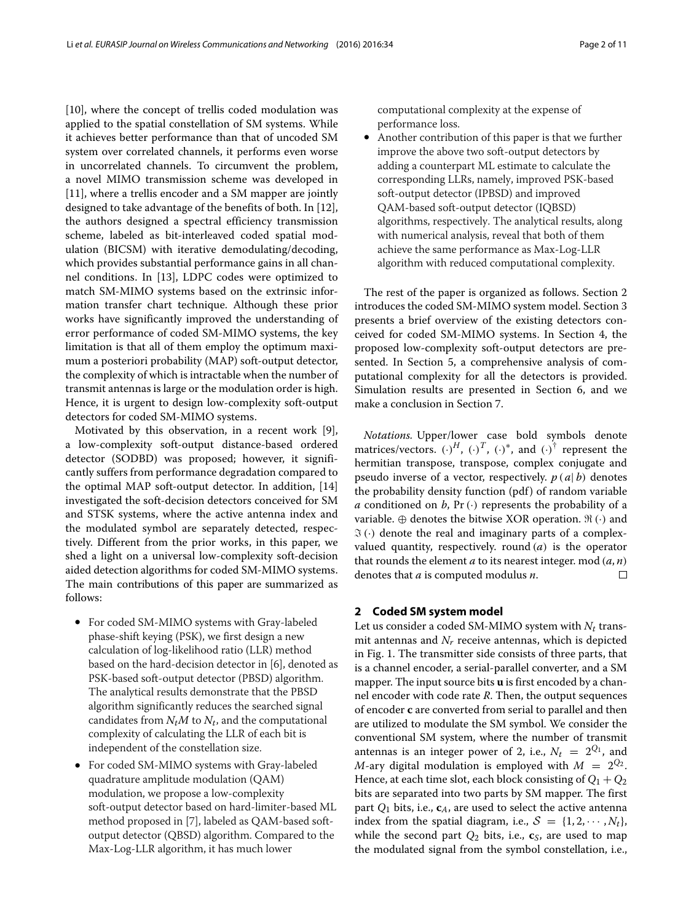[\[10\]](#page--1-4), where the concept of trellis coded modulation was applied to the spatial constellation of SM systems. While it achieves better performance than that of uncoded SM system over correlated channels, it performs even worse in uncorrelated channels. To circumvent the problem, a novel MIMO transmission scheme was developed in [\[11\]](#page--1-6), where a trellis encoder and a SM mapper are jointly designed to take advantage of the benefits of both. In [\[12\]](#page--1-7), the authors designed a spectral efficiency transmission scheme, labeled as bit-interleaved coded spatial modulation (BICSM) with iterative demodulating/decoding, which provides substantial performance gains in all channel conditions. In [\[13\]](#page--1-5), LDPC codes were optimized to match SM-MIMO systems based on the extrinsic information transfer chart technique. Although these prior works have significantly improved the understanding of error performance of coded SM-MIMO systems, the key limitation is that all of them employ the optimum maximum a posteriori probability (MAP) soft-output detector, the complexity of which is intractable when the number of transmit antennas is large or the modulation order is high. Hence, it is urgent to design low-complexity soft-output detectors for coded SM-MIMO systems.

Motivated by this observation, in a recent work [\[9\]](#page--1-3), a low-complexity soft-output distance-based ordered detector (SODBD) was proposed; however, it significantly suffers from performance degradation compared to the optimal MAP soft-output detector. In addition, [\[14\]](#page--1-8) investigated the soft-decision detectors conceived for SM and STSK systems, where the active antenna index and the modulated symbol are separately detected, respectively. Different from the prior works, in this paper, we shed a light on a universal low-complexity soft-decision aided detection algorithms for coded SM-MIMO systems. The main contributions of this paper are summarized as follows:

- For coded SM-MIMO systems with Gray-labeled phase-shift keying (PSK), we first design a new calculation of log-likelihood ratio (LLR) method based on the hard-decision detector in [\[6\]](#page--1-2), denoted as PSK-based soft-output detector (PBSD) algorithm. The analytical results demonstrate that the PBSD algorithm significantly reduces the searched signal candidates from  $N_tM$  to  $N_t$ , and the computational complexity of calculating the LLR of each bit is independent of the constellation size.
- For coded SM-MIMO systems with Gray-labeled quadrature amplitude modulation (QAM) modulation, we propose a low-complexity soft-output detector based on hard-limiter-based ML method proposed in [\[7\]](#page--1-9), labeled as QAM-based softoutput detector (QBSD) algorithm. Compared to the Max-Log-LLR algorithm, it has much lower

computational complexity at the expense of performance loss.

• Another contribution of this paper is that we further improve the above two soft-output detectors by adding a counterpart ML estimate to calculate the corresponding LLRs, namely, improved PSK-based soft-output detector (IPBSD) and improved QAM-based soft-output detector (IQBSD) algorithms, respectively. The analytical results, along with numerical analysis, reveal that both of them achieve the same performance as Max-Log-LLR algorithm with reduced computational complexity.

The rest of the paper is organized as follows. Section [2](#page-1-0) introduces the coded SM-MIMO system model. Section [3](#page-2-0) presents a brief overview of the existing detectors conceived for coded SM-MIMO systems. In Section [4,](#page-3-0) the proposed low-complexity soft-output detectors are presented. In Section [5,](#page-7-0) a comprehensive analysis of computational complexity for all the detectors is provided. Simulation results are presented in Section [6,](#page-8-0) and we make a conclusion in Section [7.](#page-9-2)

*Notations.* Upper/lower case bold symbols denote matrices/vectors.  $(\cdot)^H$ ,  $(\cdot)^T$ ,  $(\cdot)^*$ , and  $(\cdot)^{\dagger}$  represent the hermitian transpose, transpose, complex conjugate and pseudo inverse of a vector, respectively. *p* (*a*| *b*) denotes the probability density function (pdf ) of random variable *a* conditioned on *b*,  $Pr(\cdot)$  represents the probability of a variable.  $\oplus$  denotes the bitwise XOR operation.  $\mathfrak{R}(\cdot)$  and  $\Im$  (·) denote the real and imaginary parts of a complexvalued quantity, respectively. round (*a*) is the operator that rounds the element  $a$  to its nearest integer. mod  $(a, n)$ denotes that *a* is computed modulus *n*.  $\Box$ 

#### <span id="page-1-0"></span>**2 Coded SM system model**

Let us consider a coded SM-MIMO system with *Nt* transmit antennas and  $N_r$  receive antennas, which is depicted in Fig. [1.](#page-2-1) The transmitter side consists of three parts, that is a channel encoder, a serial-parallel converter, and a SM mapper. The input source bits **u** is first encoded by a channel encoder with code rate *R*. Then, the output sequences of encoder **c** are converted from serial to parallel and then are utilized to modulate the SM symbol. We consider the conventional SM system, where the number of transmit antennas is an integer power of 2, i.e.,  $N_t = 2^{Q_1}$ , and *M*-ary digital modulation is employed with  $M = 2^{Q_2}$ . Hence, at each time slot, each block consisting of  $Q_1 + Q_2$ bits are separated into two parts by SM mapper. The first part *Q*<sup>1</sup> bits, i.e., **c***A*, are used to select the active antenna index from the spatial diagram, i.e.,  $S = \{1, 2, \cdots, N_t\}$ , while the second part  $Q_2$  bits, i.e.,  $c_S$ , are used to map the modulated signal from the symbol constellation, i.e.,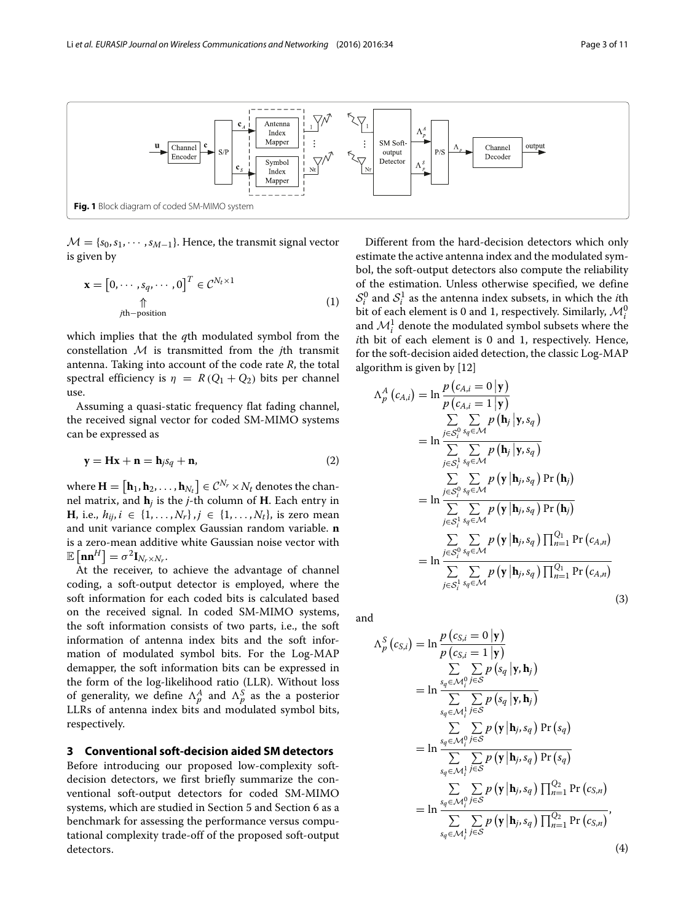

<span id="page-2-1"></span> $\mathcal{M} = \{s_0, s_1, \cdots, s_{M-1}\}.$  Hence, the transmit signal vector is given by

$$
\mathbf{x} = [0, \cdots, s_q, \cdots, 0]^T \in \mathcal{C}^{N_t \times 1}
$$
  
\n
$$
\uparrow \qquad \qquad \uparrow \qquad \qquad (1)
$$
  
\n
$$
j\text{th-position}
$$

which implies that the *q*th modulated symbol from the constellation M is transmitted from the *j*th transmit antenna. Taking into account of the code rate *R*, the total spectral efficiency is  $\eta = R(Q_1 + Q_2)$  bits per channel use.

Assuming a quasi-static frequency flat fading channel, the received signal vector for coded SM-MIMO systems can be expressed as

$$
\mathbf{y} = \mathbf{H}\mathbf{x} + \mathbf{n} = \mathbf{h}_j s_q + \mathbf{n},\tag{2}
$$

where  $\mathbf{H} = [\mathbf{h}_1, \mathbf{h}_2, \dots, \mathbf{h}_{N_t}] \in \mathcal{C}^{N_r} \times N_t$  denotes the channel matrix, and  $\mathbf{h}_i$  is the *j*-th column of **H**. Each entry in **H**, i.e.,  $h_{ij}$ , *i* ∈ {1, ..., *N<sub>r</sub>*}, *j* ∈ {1, ..., *N<sub>t</sub>*}, is zero mean and unit variance complex Gaussian random variable. **n** is a zero-mean additive white Gaussian noise vector with  $\mathbb{E}\left[\mathbf{n}\mathbf{n}^H\right] = \sigma^2 \mathbf{I}_{N_r \times N_r}.$ 

At the receiver, to achieve the advantage of channel coding, a soft-output detector is employed, where the soft information for each coded bits is calculated based on the received signal. In coded SM-MIMO systems, the soft information consists of two parts, i.e., the soft information of antenna index bits and the soft information of modulated symbol bits. For the Log-MAP demapper, the soft information bits can be expressed in the form of the log-likelihood ratio (LLR). Without loss of generality, we define  $\Lambda_p^A$  and  $\Lambda_p^S$  as the a posterior LLRs of antenna index bits and modulated symbol bits, respectively.

# <span id="page-2-0"></span>**3 Conventional soft-decision aided SM detectors**

Before introducing our proposed low-complexity softdecision detectors, we first briefly summarize the conventional soft-output detectors for coded SM-MIMO systems, which are studied in Section [5](#page-7-0) and Section [6](#page-8-0) as a benchmark for assessing the performance versus computational complexity trade-off of the proposed soft-output detectors.

Different from the hard-decision detectors which only estimate the active antenna index and the modulated symbol, the soft-output detectors also compute the reliability of the estimation. Unless otherwise specified, we define  $S_i^0$  and  $S_i^1$  as the antenna index subsets, in which the *i*th bit of each element is 0 and 1, respectively. Similarly,  $\mathcal{M}_i^0$ and  $\mathcal{M}_i^1$  denote the modulated symbol subsets where the *i*th bit of each element is 0 and 1, respectively. Hence, for the soft-decision aided detection, the classic Log-MAP algorithm is given by [\[12\]](#page--1-7)

$$
\Lambda_{p}^{A}(c_{A,i}) = \ln \frac{p(c_{A,i} = 0 | \mathbf{y})}{p(c_{A,i} = 1 | \mathbf{y})}
$$
\n
$$
= \ln \frac{\sum_{j \in S_{i}^{0}} \sum_{s_{q} \in \mathcal{M}} p(\mathbf{h}_{j} | \mathbf{y}, s_{q})}{\sum_{j \in S_{i}^{1}} \sum_{s_{q} \in \mathcal{M}} p(\mathbf{h}_{j} | \mathbf{y}, s_{q})}
$$
\n
$$
= \ln \frac{\sum_{j \in S_{i}^{0}} \sum_{s_{q} \in \mathcal{M}} p(\mathbf{y} | \mathbf{h}_{j}, s_{q}) \Pr(\mathbf{h}_{j})}{\sum_{j \in S_{i}^{1}} \sum_{s_{q} \in \mathcal{M}} p(\mathbf{y} | \mathbf{h}_{j}, s_{q}) \Pr(\mathbf{h}_{j})}
$$
\n
$$
= \ln \frac{\sum_{j \in S_{i}^{0}} \sum_{s_{q} \in \mathcal{M}} p(\mathbf{y} | \mathbf{h}_{j}, s_{q}) \prod_{n=1}^{Q_{1}} \Pr(c_{A,n})}{\sum_{j \in S_{i}^{1}} \sum_{s_{q} \in \mathcal{M}} p(\mathbf{y} | \mathbf{h}_{j}, s_{q}) \prod_{n=1}^{Q_{1}} \Pr(c_{A,n})}
$$
\n(3)

and

<span id="page-2-3"></span> $\overline{I}$ 

<span id="page-2-2"></span>
$$
\Delta_{p}^{S}(c_{S,i}) = \ln \frac{p(c_{S,i} = 0 | \mathbf{y})}{p(c_{S,i} = 1 | \mathbf{y})}
$$
  
\n
$$
= \ln \frac{\sum_{s_{q} \in \mathcal{M}_{i}^{0}} \sum_{j \in S} p(s_{q} | \mathbf{y}, \mathbf{h}_{j})}{\sum_{s_{q} \in \mathcal{M}_{i}^{1}} \sum_{j \in S} p(s_{q} | \mathbf{y}, \mathbf{h}_{j})}
$$
  
\n
$$
= \ln \frac{\sum_{s_{q} \in \mathcal{M}_{i}^{0}} \sum_{j \in S} p(\mathbf{y} | \mathbf{h}_{j}, s_{q}) \Pr(s_{q})}{\sum_{s_{q} \in \mathcal{M}_{i}^{1}} \sum_{j \in S} p(\mathbf{y} | \mathbf{h}_{j}, s_{q}) \Pr(s_{q})}
$$
  
\n
$$
= \ln \frac{\sum_{s_{q} \in \mathcal{M}_{i}^{0}} \sum_{j \in S} p(\mathbf{y} | \mathbf{h}_{j}, s_{q}) \prod_{n=1}^{Q_{2}} \Pr(c_{S,n})}{\sum_{s_{q} \in \mathcal{M}_{i}^{1}} \sum_{j \in S} p(\mathbf{y} | \mathbf{h}_{j}, s_{q}) \prod_{n=1}^{Q_{2}} \Pr(c_{S,n})},
$$
  
\n(4)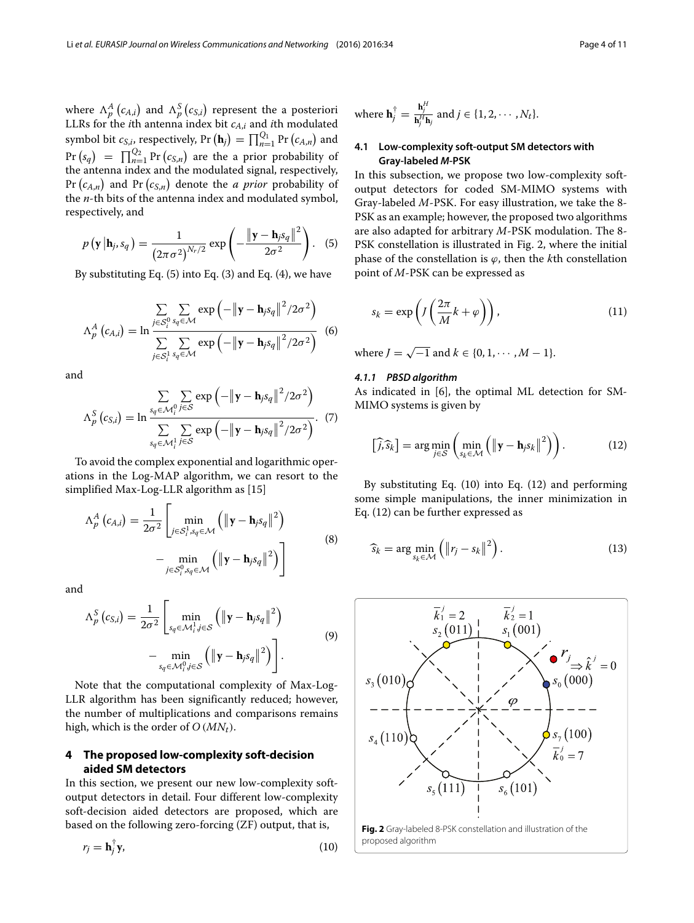where  $\Lambda_p^A(c_{A,i})$  and  $\Lambda_p^S(c_{S,i})$  represent the a posteriori LLRs for the *i*th antenna index bit *cA*,*<sup>i</sup>* and *i*th modulated symbol bit  $c_{S,i}$ , respectively, Pr  $(\mathbf{h}_j) = \prod_{n=1}^{Q_1} \Pr(c_{A,n})$  and  $\Pr (s_q) = \prod_{n=1}^{Q_2} \Pr (c_{S,n})$  are the a prior probability of the antenna index and the modulated signal, respectively, Pr  $(c_{A,n})$  and Pr  $(c_{S,n})$  denote the *a prior* probability of the *n*-th bits of the antenna index and modulated symbol, respectively, and

$$
p\left(\mathbf{y} \,|\mathbf{h}_j, s_q\right) = \frac{1}{\left(2\pi\sigma^2\right)^{N_r/2}} \exp\left(-\frac{\left\|\mathbf{y} - \mathbf{h}_j s_q\right\|^2}{2\sigma^2}\right). \tag{5}
$$

By substituting Eq. [\(5\)](#page-3-1) into Eq. [\(3\)](#page-2-2) and Eq. [\(4\)](#page-2-3), we have

$$
\Lambda_p^A\left(c_{A,i}\right) = \ln \frac{\sum\limits_{j \in S_i^0} \sum\limits_{s_q \in \mathcal{M}} \exp\left(-\|\mathbf{y} - \mathbf{h}_j s_q\|^2 / 2\sigma^2\right)}{\sum\limits_{j \in S_i^1} \sum\limits_{s_q \in \mathcal{M}} \exp\left(-\|\mathbf{y} - \mathbf{h}_j s_q\|^2 / 2\sigma^2\right)}
$$
(6)

and

$$
\Lambda_p^S\left(c_{S,i}\right) = \ln \frac{\sum\limits_{s_q \in \mathcal{M}_i^0} \sum\limits_{j \in S} \exp\left(-\left\|\mathbf{y} - \mathbf{h}_j s_q\right\|^2 / 2\sigma^2\right)}{\sum\limits_{s_q \in \mathcal{M}_i^1} \sum\limits_{j \in S} \exp\left(-\left\|\mathbf{y} - \mathbf{h}_j s_q\right\|^2 / 2\sigma^2\right)}.
$$
 (7)

To avoid the complex exponential and logarithmic operations in the Log-MAP algorithm, we can resort to the simplified Max-Log-LLR algorithm as [\[15\]](#page--1-10)

$$
\Lambda_p^A(c_{A,i}) = \frac{1}{2\sigma^2} \left[ \min_{j \in \mathcal{S}_i^1, s_q \in \mathcal{M}} \left( \|\mathbf{y} - \mathbf{h}_j s_q\|^2 \right) - \min_{j \in \mathcal{S}_i^0, s_q \in \mathcal{M}} \left( \|\mathbf{y} - \mathbf{h}_j s_q\|^2 \right) \right]
$$
\n(8)

and

<span id="page-3-8"></span>
$$
\Lambda_p^S(c_{S,i}) = \frac{1}{2\sigma^2} \left[ \min_{s_q \in \mathcal{M}_i^1, j \in S} \left( \|\mathbf{y} - \mathbf{h}_j s_q\|^2 \right) - \min_{s_q \in \mathcal{M}_i^0, j \in S} \left( \|\mathbf{y} - \mathbf{h}_j s_q\|^2 \right) \right].
$$
\n(9)

Note that the computational complexity of Max-Log-LLR algorithm has been significantly reduced; however, the number of multiplications and comparisons remains high, which is the order of *O* (*MNt*).

#### <span id="page-3-0"></span>**4 The proposed low-complexity soft-decision aided SM detectors**

In this section, we present our new low-complexity softoutput detectors in detail. Four different low-complexity soft-decision aided detectors are proposed, which are based on the following zero-forcing (ZF) output, that is,

$$
r_j = \mathbf{h}_j^{\dagger} \mathbf{y},\tag{10}
$$

where 
$$
\mathbf{h}_j^{\dagger} = \frac{\mathbf{h}_j^H}{\mathbf{h}_j^H \mathbf{h}_j}
$$
 and  $j \in \{1, 2, \cdots, N_t\}.$ 

#### **4.1 Low-complexity soft-output SM detectors with Gray-labeled** *M***-PSK**

<span id="page-3-1"></span>In this subsection, we propose two low-complexity softoutput detectors for coded SM-MIMO systems with Gray-labeled *M*-PSK. For easy illustration, we take the 8- PSK as an example; however, the proposed two algorithms are also adapted for arbitrary *M*-PSK modulation. The 8- PSK constellation is illustrated in Fig. [2,](#page-3-2) where the initial phase of the constellation is  $\varphi$ , then the *k*th constellation point of *M*-PSK can be expressed as

<span id="page-3-5"></span>
$$
s_k = \exp\left(J\left(\frac{2\pi}{M}k + \varphi\right)\right),\tag{11}
$$

where  $J = \sqrt{-1}$  and  $k \in \{0, 1, \dots, M - 1\}.$ 

#### *4.1.1 PBSD algorithm*

As indicated in [\[6\]](#page--1-2), the optimal ML detection for SM-MIMO systems is given by

<span id="page-3-4"></span>
$$
\left[\widehat{j},\widehat{s}_{k}\right] = \arg\min_{j\in S}\left(\min_{s_{k}\in\mathcal{M}}\left(\left\|\mathbf{y}-\mathbf{h}_{j}s_{k}\right\|^{2}\right)\right).
$$
 (12)

<span id="page-3-7"></span>By substituting Eq. [\(10\)](#page-3-3) into Eq. [\(12\)](#page-3-4) and performing some simple manipulations, the inner minimization in Eq. [\(12\)](#page-3-4) can be further expressed as

<span id="page-3-6"></span>
$$
\widehat{s}_k = \arg\min_{s_k \in \mathcal{M}} \left( \|r_j - s_k\|^2 \right). \tag{13}
$$

<span id="page-3-3"></span><span id="page-3-2"></span>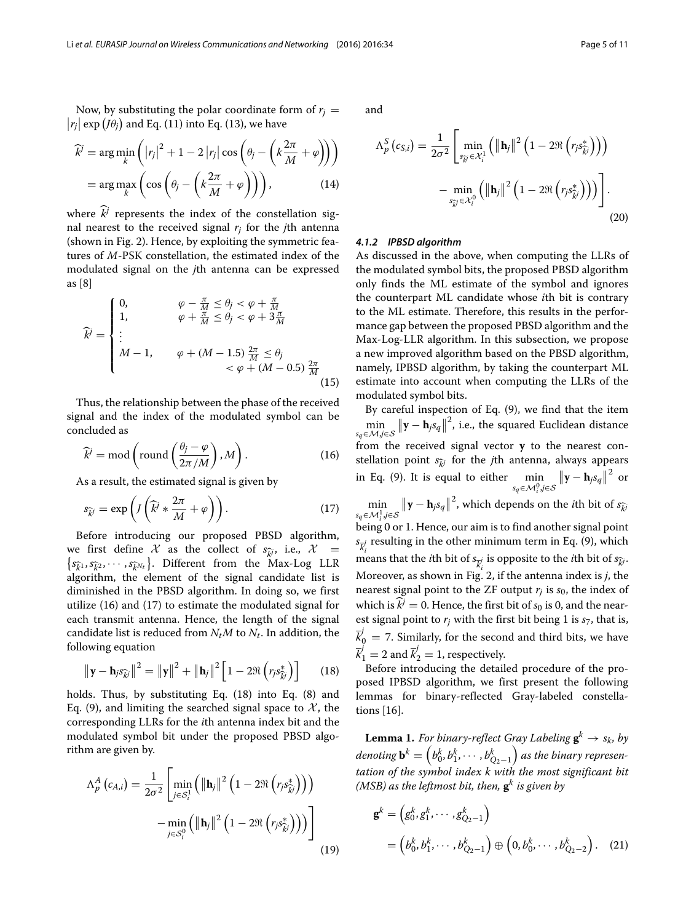$$
\widehat{k}^{j} = \arg\min_{k} \left( |r_{j}|^{2} + 1 - 2 |r_{j}| \cos\left(\theta_{j} - \left(k\frac{2\pi}{M} + \varphi\right)\right) \right)
$$
\n
$$
= \arg\max_{k} \left( \cos\left(\theta_{j} - \left(k\frac{2\pi}{M} + \varphi\right)\right) \right), \tag{14}
$$

where  $\hat{k}$  represents the index of the constellation signal nearest to the received signal  $r_i$  for the *j*th antenna (shown in Fig. [2\)](#page-3-2). Hence, by exploiting the symmetric features of *M*-PSK constellation, the estimated index of the modulated signal on the *j*th antenna can be expressed as [\[8\]](#page--1-11)

$$
\widehat{k}^{j} = \begin{cases}\n0, & \varphi - \frac{\pi}{M} \le \theta_{j} < \varphi + \frac{\pi}{M} \\
1, & \varphi + \frac{\pi}{M} \le \theta_{j} < \varphi + 3\frac{\pi}{M} \\
\vdots \\
M - 1, & \varphi + (M - 1.5) \frac{2\pi}{M} \le \theta_{j} \\
& \varphi + (M - 0.5) \frac{2\pi}{M} \\
& (15)\n\end{cases}
$$

Thus, the relationship between the phase of the received signal and the index of the modulated symbol can be concluded as

<span id="page-4-0"></span>
$$
\widehat{k}^j = \text{mod}\left(\text{round}\left(\frac{\theta_j - \varphi}{2\pi/M}\right), M\right). \tag{16}
$$

As a result, the estimated signal is given by

$$
s_{\widehat{k}^j} = \exp\left(J\left(\widehat{k}^j * \frac{2\pi}{M} + \varphi\right)\right). \tag{17}
$$

Before introducing our proposed PBSD algorithm, we first define X as the collect of  $s_{\widehat{k}}$ *j*, i.e., X =  $s_{\widehat{k}}$ 1, *s*<sub> $\widehat{k}$ 2, ···, *s*<sub> $\widehat{k}$ *N<sub>t</sub>*</sub> }. Different from the Max-Log LLR</sub> algorithm, the element of the signal candidate list is diminished in the PBSD algorithm. In doing so, we first utilize [\(16\)](#page-4-0) and [\(17\)](#page-4-1) to estimate the modulated signal for each transmit antenna. Hence, the length of the signal candidate list is reduced from  $N_tM$  to  $N_t$ . In addition, the following equation

<span id="page-4-2"></span>
$$
\|\mathbf{y} - \mathbf{h}_j s_{\widehat{k}^j}\|^2 = \|\mathbf{y}\|^2 + \|\mathbf{h}_j\|^2 \left[1 - 2\Re\left(r_j s_{\widehat{k}^j}^*\right)\right] \tag{18}
$$

holds. Thus, by substituting Eq. [\(18\)](#page-4-2) into Eq. [\(8\)](#page-3-7) and Eq. [\(9\)](#page-3-8), and limiting the searched signal space to  $\mathcal{X}$ , the corresponding LLRs for the *i*th antenna index bit and the modulated symbol bit under the proposed PBSD algorithm are given by.

<span id="page-4-5"></span>
$$
\Lambda_p^A(c_{A,i}) = \frac{1}{2\sigma^2} \left[ \min_{j \in S_i^1} \left( \|\mathbf{h}_j\|^2 \left(1 - 2\Re\left(r_j s_{\widehat{k}^j}^*\right)\right) \right) - \min_{j \in S_i^0} \left( \|\mathbf{h}_j\|^2 \left(1 - 2\Re\left(r_j s_{\widehat{k}^j}^*\right)\right) \right) \right]
$$
(19)

and

$$
\Lambda_p^S\left(c_{S,i}\right) = \frac{1}{2\sigma^2} \left[ \min_{s_{\widetilde{k}}^S \in \mathcal{X}_i^1} \left( \|\mathbf{h}_j\|^2 \left(1 - 2\Re\left(r_j s_{\widetilde{k}}^*\right)\right) \right) - \min_{s_{\widetilde{k}}^S \in \mathcal{X}_i^0} \left( \|\mathbf{h}_j\|^2 \left(1 - 2\Re\left(r_j s_{\widetilde{k}}^*\right)\right) \right) \right] \right].
$$
\n(20)

#### *4.1.2 IPBSD algorithm*

As discussed in the above, when computing the LLRs of the modulated symbol bits, the proposed PBSD algorithm only finds the ML estimate of the symbol and ignores the counterpart ML candidate whose *i*th bit is contrary to the ML estimate. Therefore, this results in the performance gap between the proposed PBSD algorithm and the Max-Log-LLR algorithm. In this subsection, we propose a new improved algorithm based on the PBSD algorithm, namely, IPBSD algorithm, by taking the counterpart ML estimate into account when computing the LLRs of the modulated symbol bits.

<span id="page-4-1"></span>By careful inspection of Eq. [\(9\)](#page-3-8), we find that the item  $\min_{s_q \in \mathcal{M}, j \in \mathcal{S}} \|\mathbf{y} - \mathbf{h}_j s_q\|^2$ , i.e., the squared Euclidean distance from the received signal vector **y** to the nearest constellation point  $s_{\hat{i}}$  for the *j*th antenna, always appears in Eq. [\(9\)](#page-3-8). It is equal to either min *sq*∈M<sup>0</sup> *<sup>i</sup>* ,*j*∈S  $||\mathbf{y} - \mathbf{h}_j s_q||^2$  or min *sq*∈M<sup>1</sup> *<sup>i</sup>* ,*j*∈S **y** − **h***jsq* 2 , which depends on the *<sup>i</sup>*th bit of *<sup>s</sup>k<sup>j</sup>* being 0 or 1. Hence, our aim is to find another signal point  $s_{\overline{k}_{i}^{j}}$  resulting in the other minimum term in Eq. [\(9\)](#page-3-8), which means that the *i*th bit of  $s_{\overline{k}^j_i}$  is opposite to the *i*th bit of  $s_{\widehat{k}^j}$ . *i* Moreover, as shown in Fig. [2,](#page-3-2) if the antenna index is *j*, the nearest signal point to the ZF output  $r_j$  is  $s_0$ , the index of which is  $k^j = 0$ . Hence, the first bit of  $s_0$  is 0, and the nearest signal point to  $r_i$  with the first bit being 1 is  $s_7$ , that is,  $\overline{k}_{0}^{j} =$  7. Similarly, for the second and third bits, we have  $\overline{k}'_1 = 2$  and  $\overline{k}'_2 = 1$ , respectively.

Before introducing the detailed procedure of the proposed IPBSD algorithm, we first present the following lemmas for binary-reflected Gray-labeled constellations [\[16\]](#page--1-12).

<span id="page-4-3"></span>**Lemma 1.** *For binary-reflect Gray Labeling*  $\mathbf{g}^k \to s_k$ *, by*  $\boldsymbol{d}$ *enoting*  $\mathbf{b}^k = \left(b_0^k, b_1^k, \cdots, b_{Q_2-1}^k\right)$  *as the binary representation of the symbol index k with the most significant bit (MSB) as the leftmost bit, then,* **g***<sup>k</sup> is given by*

<span id="page-4-4"></span>
$$
\mathbf{g}^{k} = (g_0^k, g_1^k, \cdots, g_{Q_2-1}^k)
$$
  
=  $(b_0^k, b_1^k, \cdots, b_{Q_2-1}^k) \oplus (0, b_0^k, \cdots, b_{Q_2-2}^k)$ . (21)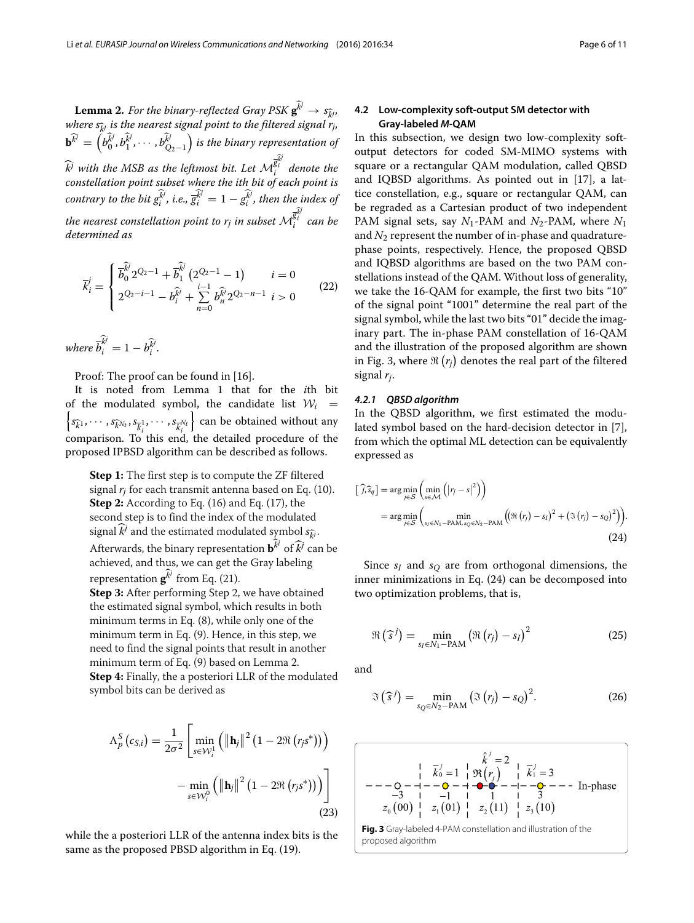<span id="page-5-0"></span>**Lemma 2.** For the binary-reflected Gray PSK  $\mathbf{g}^{\hat{k}^j} \rightarrow s_{\hat{k}^j}$ , *where*  $s_{\hat{i}}$  *is the nearest signal point to the filtered signal*  $r_i$ ,  $\mathbf{b}^{\widehat{k}^j} =$  $\left(b_0^{\widehat{k}^j}, b_1^{\widehat{k}^j}, \cdots, b_{Q_2-1}^{\widehat{k}^j}\right)$  *is the binary representation of*  $\widehat{k}^j$  *with the MSB as the leftmost bit. Let*  $\mathcal{M}^{\overline{\mathcal{R}}_i^{\widehat{i}}}_i$  *denote the constellation point subset where the ith bit of each point is contrary to the bit*  $g_i^{\overrightarrow{k^j}}$ , *i.e.,*  $\overrightarrow{g}_i^{\overrightarrow{k^j}} = 1 - g_i^{\overrightarrow{k^j}}$ , then the index of the nearest constellation point to  $r_j$  in subset  $\mathcal{M}^{\overline{\widehat{\xi}_i^j}}_i$  can be *determined as*

$$
\vec{k}_{i}^{j} = \begin{cases}\n\overrightarrow{b_{0}}^{2Q_{2}-1} + \overrightarrow{b_{1}}^{2}(2^{Q_{2}-1}-1) & i=0 \\
2^{Q_{2}-i-1} - b_{i}^{\widehat{k}^{j}} + \sum_{n=0}^{i-1} b_{n}^{\widehat{k}^{j}} 2^{Q_{2}-n-1} & i>0\n\end{cases}
$$
\n(22)

*where*  $\overline{b}_i^{\widehat{k}^j} = 1 - b_i^{\widehat{k}^j}$ .

Proof: The proof can be found in [\[16\]](#page--1-12).

It is noted from Lemma [1](#page-4-3) that for the *i*th bit of the modulated symbol, the candidate list  $W_i$  =  $s_{\widehat{k}}_1, \cdots, s_{\widehat{k}}_{N_t}, s_{\overline{k}_i^1}, \cdots, s_{\overline{k}_i^{N_t}}$  can be obtained without any comparison. To this end, the detailed procedure of the proposed IPBSD algorithm can be described as follows.

**Step 1:** The first step is to compute the ZF filtered signal *rj* for each transmit antenna based on Eq. [\(10\)](#page-3-3). **Step 2:** According to Eq. [\(16\)](#page-4-0) and Eq. [\(17\)](#page-4-1), the second step is to find the index of the modulated signal  $k^j$  and the estimated modulated symbol  $s_{ki}$ . Afterwards, the binary representation  $\mathbf{b}^{\widehat{k}^j}$  of  $\widehat{k}^j$  can be achieved, and thus, we can get the Gray labeling representation  $\mathbf{g}^{\widehat{k}^j}$  from Eq. [\(21\)](#page-4-4). **Step 3:** After performing Step 2, we have obtained

the estimated signal symbol, which results in both minimum terms in Eq. [\(8\)](#page-3-7), while only one of the minimum term in Eq. [\(9\)](#page-3-8). Hence, in this step, we need to find the signal points that result in another minimum term of Eq. [\(9\)](#page-3-8) based on Lemma [2.](#page-5-0) **Step 4:** Finally, the a posteriori LLR of the modulated symbol bits can be derived as

$$
\Lambda_p^S\left(c_{S,i}\right) = \frac{1}{2\sigma^2} \left[ \min_{s \in \mathcal{W}_i^1} \left( \|\mathbf{h}_j\|^2 \left(1 - 2\Re\left(r_j s^*\right)\right) \right) - \min_{s \in \mathcal{W}_i^0} \left( \|\mathbf{h}_j\|^2 \left(1 - 2\Re\left(r_j s^*\right)\right) \right) \right]
$$
\n(23)

while the a posteriori LLR of the antenna index bits is the same as the proposed PBSD algorithm in Eq. [\(19\)](#page-4-5).

#### **4.2 Low-complexity soft-output SM detector with Gray-labeled** *M***-QAM**

In this subsection, we design two low-complexity softoutput detectors for coded SM-MIMO systems with square or a rectangular QAM modulation, called QBSD and IQBSD algorithms. As pointed out in [\[17\]](#page--1-13), a lattice constellation, e.g., square or rectangular QAM, can be regraded as a Cartesian product of two independent PAM signal sets, say *N*1-PAM and *N*2-PAM, where *N*<sup>1</sup> and *N*<sup>2</sup> represent the number of in-phase and quadraturephase points, respectively. Hence, the proposed QBSD and IQBSD algorithms are based on the two PAM constellations instead of the QAM. Without loss of generality, we take the 16-QAM for example, the first two bits "10" of the signal point "1001" determine the real part of the signal symbol, while the last two bits "01" decide the imaginary part. The in-phase PAM constellation of 16-QAM and the illustration of the proposed algorithm are shown in Fig. [3,](#page-5-1) where  $\Re(r_j)$  denotes the real part of the filtered signal *rj*.

#### <span id="page-5-3"></span>*4.2.1 QBSD algorithm*

In the QBSD algorithm, we first estimated the modulated symbol based on the hard-decision detector in [\[7\]](#page--1-9), from which the optimal ML detection can be equivalently expressed as

<span id="page-5-2"></span>
$$
[\widehat{j}_{j} \widehat{s}_{q}] = \arg\min_{j \in S} \left( \min_{s \in \mathcal{M}} \left( |r_{j} - s|^{2} \right) \right)
$$
  
= 
$$
\arg\min_{j \in S} \left( \min_{s_{j} \in N_{1} - PAM, s_{Q} \in N_{2} - PAM} \left( (\Re(r_{j}) - s_{1})^{2} + (\Im(r_{j}) - s_{Q})^{2} \right) \right).
$$
 (24)

Since  $s_I$  and  $s_O$  are from orthogonal dimensions, the inner minimizations in Eq. [\(24\)](#page-5-2) can be decomposed into two optimization problems, that is,

$$
\Re\left(\widehat{s}^j\right) = \min_{s_I \in N_1 - PAM} \left(\Re\left(r_j\right) - s_I\right)^2 \tag{25}
$$

and

$$
\mathfrak{I}\left(\widehat{s}^{j}\right) = \min_{s_{Q} \in N_{2}-\text{PAM}}\left(\mathfrak{I}\left(r_{j}\right)-s_{Q}\right)^{2}.
$$
 (26)

$$
\overline{k}_{0}^{j} = 1 \begin{array}{c} \overline{k}^{j} = 2 \\ \overline{k}_{0}^{j} = 1 \begin{array}{c} \overline{k}^{j} = 2 \\ \overline{R}(r_{j}) \end{array} \begin{array}{c} \overline{k}^{j} = 3 \\ \overline{k}_{1}^{j} = 3 \\ \overline{R}(r_{j}) \end{array} \\ \overline{-3 \begin{array}{c} -3 \\ -3 \\ 1 \end{array}} \begin{array}{c} -1 \\ -1 \\ -1 \end{array} \begin{array}{c} 1 \\ \overline{k}_{1}^{j} = 3 \\ \overline{R}(r_{j}) \end{array} \\ \overline{z}_{2}(11) \begin{array}{c} 1 \\ \overline{k}_{1}^{j} = 3 \\ \overline{z}_{3}(10) \end{array}
$$

<span id="page-5-1"></span>**Fig. 3** Gray-labeled 4-PAM constellation and illustration of the proposed algorithm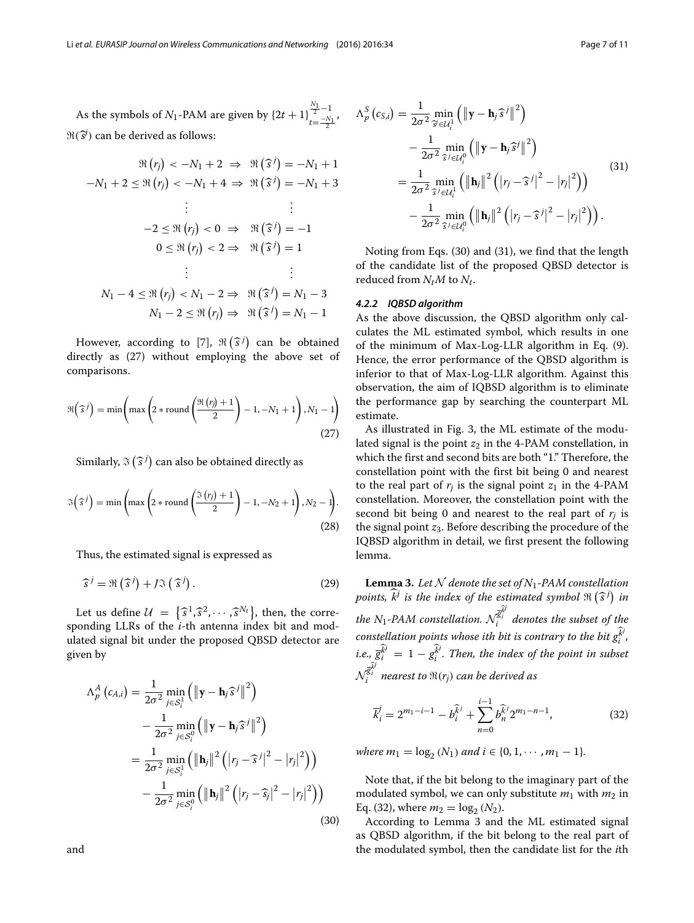# As the symbols of *N*<sub>1</sub>-PAM are given by  $\{2t+1\}^{\frac{N_1}{2}-1}_{t=-N_1}$  $t=\frac{-N_1}{2}$  $\Re(\vec{s})$  can be derived as follows:

$$
\Re(r_j) < -N_1 + 2 \implies \Re(\widehat{s}^j) = -N_1 + 1
$$
\n
$$
-N_1 + 2 \leq \Re(r_j) < -N_1 + 4 \implies \Re(\widehat{s}^j) = -N_1 + 3
$$
\n
$$
\vdots \qquad \vdots
$$
\n
$$
-2 \leq \Re(r_j) < 0 \implies \Re(\widehat{s}^j) = -1
$$
\n
$$
0 \leq \Re(r_j) < 2 \implies \Re(\widehat{s}^j) = 1
$$
\n
$$
\vdots \qquad \vdots
$$
\n
$$
N_1 - 4 \leq \Re(r_j) < N_1 - 2 \implies \Re(\widehat{s}^j) = N_1 - 3
$$
\n
$$
N_1 - 2 \leq \Re(r_j) \implies \Re(\widehat{s}^j) = N_1 - 1
$$

<span id="page-6-0"></span>However, according to [\[7\]](#page--1-9),  $\Re(\widehat{s}^j)$  can be obtained directly as [\(27\)](#page-6-0) without employing the above set of comparisons.

$$
\Re\left(\widehat{s}^j\right) = \min\left(\max\left(2*\text{round}\left(\frac{\Re\left(r_j\right)+1}{2}\right)-1,-N_1+1\right),N_1-1\right)
$$
\n(27)

Similarly,  $\Im(\widehat{s}^j)$  can also be obtained directly as

$$
\mathfrak{F}\left(\widehat{s}^j\right) = \min\left(\max\left(2*\text{round}\left(\frac{\mathfrak{F}\left(r_j\right)+1}{2}\right)-1,-N_2+1\right),N_2-1\right).
$$
\n(28)

Thus, the estimated signal is expressed as

$$
\widehat{s}^{j} = \Re\left(\widehat{s}^{j}\right) + J\Im\left(\widehat{s}^{j}\right). \tag{29}
$$

Let us define  $\mathcal{U} = \{\hat{s}^1, \hat{s}^2, \cdots, \hat{s}^{N_t}\}\text{, then, the corre-  
l<sub>i</sub>,  $\mathbf{U} \mathbf{P}_{\text{u}} \in \mathcal{U}$$ sponding LLRs of the *i*-th antenna index bit and modulated signal bit under the proposed QBSD detector are given by

<span id="page-6-2"></span><span id="page-6-1"></span>
$$
\Lambda_p^A(c_{A,i}) = \frac{1}{2\sigma^2} \min_{j \in S_i^1} \left( \|\mathbf{y} - \mathbf{h}_j \hat{s}^j\|^2 \right)
$$
  

$$
- \frac{1}{2\sigma^2} \min_{j \in S_i^0} \left( \|\mathbf{y} - \mathbf{h}_j \hat{s}^j\|^2 \right)
$$
  

$$
= \frac{1}{2\sigma^2} \min_{j \in S_i^1} \left( \|\mathbf{h}_j\|^2 \left( |r_j - \hat{s}^j|^2 - |r_j|^2 \right) \right)
$$
  

$$
- \frac{1}{2\sigma^2} \min_{j \in S_i^0} \left( \|\mathbf{h}_j\|^2 \left( |r_j - \hat{s}_j|^2 - |r_j|^2 \right) \right)
$$
(30)

$$
\Lambda_p^S(c_{S,i}) = \frac{1}{2\sigma^2} \min_{\tilde{\mathcal{F}} \in \mathcal{U}_i^1} \left( \|\mathbf{y} - \mathbf{h}_j \hat{\mathbf{s}}^j\|^2 \right)
$$
  
 
$$
- \frac{1}{2\sigma^2} \min_{\tilde{\mathcal{F}} \in \mathcal{U}_i^0} \left( \|\mathbf{y} - \mathbf{h}_j \hat{\mathbf{s}}^j\|^2 \right)
$$
  
 
$$
= \frac{1}{2\sigma^2} \min_{\tilde{\mathcal{F}} \in \mathcal{U}_i^1} \left( \|\mathbf{h}_j\|^2 \left( |r_j - \hat{\mathbf{s}}^j|^2 - |r_j|^2 \right) \right)
$$
  
 
$$
- \frac{1}{2\sigma^2} \min_{\tilde{\mathcal{F}} \in \mathcal{U}_i^0} \left( \|\mathbf{h}_j\|^2 \left( |r_j - \hat{\mathbf{s}}^j|^2 - |r_j|^2 \right) \right).
$$
  
(31)

Noting from Eqs. [\(30\)](#page-6-1) and [\(31\)](#page-6-2), we find that the length of the candidate list of the proposed QBSD detector is reduced from  $N_tM$  to  $N_t$ .

#### *4.2.2 IQBSD algorithm*

As the above discussion, the QBSD algorithm only calculates the ML estimated symbol, which results in one of the minimum of Max-Log-LLR algorithm in Eq. [\(9\)](#page-3-8). Hence, the error performance of the QBSD algorithm is inferior to that of Max-Log-LLR algorithm. Against this observation, the aim of IQBSD algorithm is to eliminate the performance gap by searching the counterpart ML estimate.

As illustrated in Fig. [3,](#page-5-1) the ML estimate of the modulated signal is the point  $z_2$  in the 4-PAM constellation, in which the first and second bits are both "1." Therefore, the constellation point with the first bit being 0 and nearest to the real part of  $r_i$  is the signal point  $z_1$  in the 4-PAM constellation. Moreover, the constellation point with the second bit being 0 and nearest to the real part of  $r_i$  is the signal point *z*3. Before describing the procedure of the IQBSD algorithm in detail, we first present the following lemma.

<span id="page-6-4"></span>**Lemma 3.** Let  $N$  denote the set of  $N_1$ -PAM constellation points,  $\widehat{k}^j$  is the index of the estimated symbol  $\mathfrak{R}\left( \widehat{s}^j \right)$  in  $t$ he N<sub>1</sub>-PAM constellation.  $\mathcal{N}^{\bar{\mathcal{S}}^{\bar{\mathcal{W}}}}_{i}$  denotes the subset of the constellation points whose ith bit is contrary to the bit  $g_i^{\overrightarrow{k}}$  , *i.e.,*  $\bar{g}_i^{\vec{k'}} = 1 - g_i^{\vec{k}}$ . Then, the index of the point in subset  $\mathcal{N}^{\overline{\mathcal{R}}_i^{j \bar{j}}}_i$  nearest to  $\mathfrak{R}(r_j)$  can be derived as

<span id="page-6-3"></span>
$$
\overline{k}_{i}^{j} = 2^{m_{1}-i-1} - b_{i}^{\widehat{k}^{j}} + \sum_{n=0}^{i-1} b_{n}^{\widehat{k}^{j}} 2^{m_{1}-n-1},
$$
\n(32)

*where*  $m_1 = \log_2(N_1)$  *and*  $i \in \{0, 1, \dots, m_1 - 1\}.$ 

Note that, if the bit belong to the imaginary part of the modulated symbol, we can only substitute  $m_1$  with  $m_2$  in Eq. [\(32\)](#page-6-3), where  $m_2 = \log_2 (N_2)$ .

According to Lemma [3](#page-6-4) and the ML estimated signal as QBSD algorithm, if the bit belong to the real part of the modulated symbol, then the candidate list for the *i*th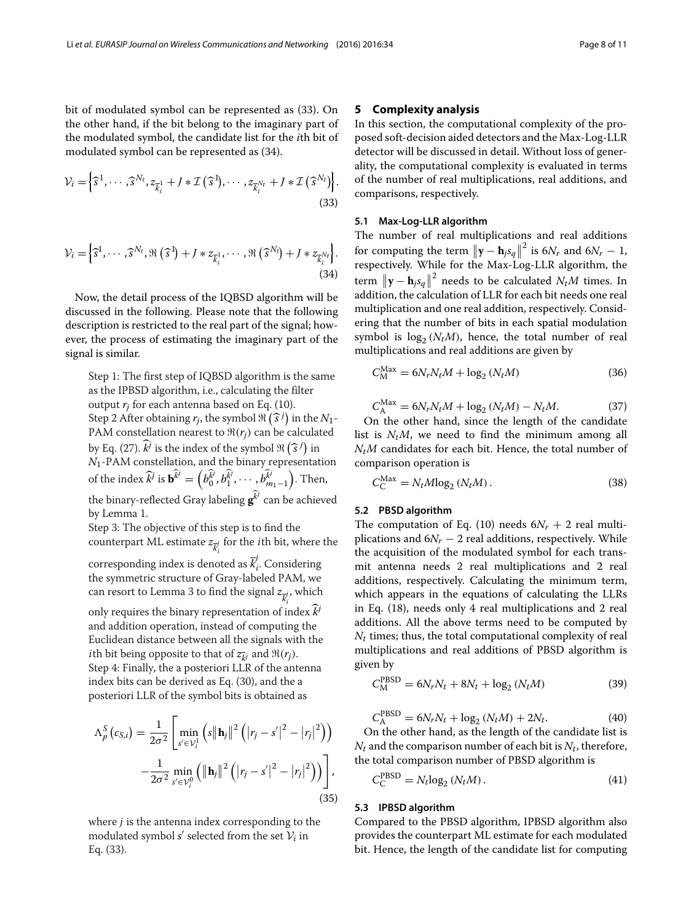bit of modulated symbol can be represented as [\(33\)](#page-7-1). On the other hand, if the bit belong to the imaginary part of the modulated symbol, the candidate list for the *i*th bit of modulated symbol can be represented as [\(34\)](#page-7-2).

$$
\mathcal{V}_i = \left\{ \widehat{s}^1, \cdots, \widehat{s}^{N_t}, z_{\overline{k}_i} + J * \mathcal{I}(\widehat{s}^1), \cdots, z_{\overline{k}_i^{N_t}} + J * \mathcal{I}(\widehat{s}^{N_t}) \right\}.
$$
\n(33)

<span id="page-7-2"></span>
$$
\mathcal{V}_i = \left\{ \widehat{s}^1, \cdots, \widehat{s}^{N_t}, \Re\left(\widehat{s}^1\right) + J * z_{\overline{k}_i^1}, \cdots, \Re\left(\widehat{s}^{N_t}\right) + J * z_{\overline{k}_i^N t} \right\}.
$$
\n(34)

Now, the detail process of the IQBSD algorithm will be discussed in the following. Please note that the following description is restricted to the real part of the signal; however, the process of estimating the imaginary part of the signal is similar.

Step 1: The first step of IQBSD algorithm is the same as the IPBSD algorithm, i.e., calculating the filter output *rj* for each antenna based on Eq. [\(10\)](#page-3-3). Step 2 After obtaining  $r_j$ , the symbol  $\Re(\hat{s}^j)$  in the  $N_1$ -PAM constellation nearest to  $\Re(r_i)$  can be calculated by Eq. [\(27\)](#page-6-0).  $\hat{k}^j$  is the index of the symbol  $\Re(\hat{s}^j)$  in *N*1-PAM constellation, and the binary representation of the index  $\widehat{k}$ <sup>*j*</sup> is **b**<sup> $\widehat{k}$ </sub><sup>*j*</sup> =</sup>  $\left(b_0^{\hat{k}^j}, b_1^{\hat{k}^j}, \cdots, b_{m_1-1}^{\hat{k}^j}\right]$ ). Then, the binary-reflected Gray labeling  $\mathbf{g}^{\widehat{k}^j}$  can be achieved by Lemma [1.](#page-4-3) Step 3: The objective of this step is to find the counterpart ML estimate  $z_{\overline{k}_{i}^{j}}$  for the *i*th bit, where the corresponding index is denoted as  $\overline{k}_{i}^{j}$ . Considering the symmetric structure of Gray-labeled PAM, we

can resort to Lemma [3](#page-6-4) to find the signal  $z_{\overline{k}^j_i}$ , which only requires the binary representation of index*k<sup>j</sup>* and addition operation, instead of computing the Euclidean distance between all the signals with the *i*th bit being opposite to that of  $z_{\hat{i}}$  and  $\Re(r_i)$ . Step 4: Finally, the a posteriori LLR of the antenna

index bits can be derived as Eq. [\(30\)](#page-6-1), and the a posteriori LLR of the symbol bits is obtained as

$$
\Lambda_p^S\left(c_{S,i}\right) = \frac{1}{2\sigma^2} \left[ \min_{s' \in \mathcal{V}_i^1} \left( s \left\| \mathbf{h}_j \right\|^2 \left( \left| r_j - s' \right|^2 - \left| r_j \right|^2 \right) \right) - \frac{1}{2\sigma^2} \min_{s' \in \mathcal{V}_i^0} \left( \left\| \mathbf{h}_j \right\|^2 \left( \left| r_j - s' \right|^2 - \left| r_j \right|^2 \right) \right) \right],
$$
\n(35)

where  $j$  is the antenna index corresponding to the modulated symbol  $s'$  selected from the set  $\mathcal{V}_i$  in Eq. [\(33\)](#page-7-1).

#### <span id="page-7-0"></span>**5 Complexity analysis**

<span id="page-7-1"></span>In this section, the computational complexity of the proposed soft-decision aided detectors and the Max-Log-LLR detector will be discussed in detail. Without loss of generality, the computational complexity is evaluated in terms of the number of real multiplications, real additions, and comparisons, respectively.

#### **5.1 Max-Log-LLR algorithm**

The number of real multiplications and real additions for computing the term  $\|\mathbf{y} - \mathbf{h}_j s_q\|^2$  is  $6N_r$  and  $6N_r - 1$ , respectively. While for the Max-Log-LLR algorithm, the term  $\|\mathbf{y} - \mathbf{h}_j s_q\|^2$  needs to be calculated  $N_t M$  times. In addition, the calculation of LLR for each bit needs one real multiplication and one real addition, respectively. Considering that the number of bits in each spatial modulation symbol is  $log_2 (N_t M)$ , hence, the total number of real multiplications and real additions are given by

$$
C_M^{\text{Max}} = 6N_r N_t M + \log_2 (N_t M) \tag{36}
$$

$$
C_{\rm A}^{\rm Max} = 6N_rN_tM + \log_2(N_tM) - N_tM.
$$
 (37)

On the other hand, since the length of the candidate list is  $N_tM$ , we need to find the minimum among all *NtM* candidates for each bit. Hence, the total number of comparison operation is

$$
C_{\rm C}^{\rm Max} = N_t M \log_2 \left( N_t M \right). \tag{38}
$$

#### **5.2 PBSD algorithm**

The computation of Eq. [\(10\)](#page-3-3) needs  $6N_r + 2$  real multiplications and  $6N_r - 2$  real additions, respectively. While the acquisition of the modulated symbol for each transmit antenna needs 2 real multiplications and 2 real additions, respectively. Calculating the minimum term, which appears in the equations of calculating the LLRs in Eq. [\(18\)](#page-4-2), needs only 4 real multiplications and 2 real additions. All the above terms need to be computed by *Nt* times; thus, the total computational complexity of real multiplications and real additions of PBSD algorithm is given by

$$
C_{\rm M}^{\rm PBSD} = 6N_rN_t + 8N_t + \log_2(N_tM)
$$
 (39)

$$
C_{\rm A}^{\rm PBSD} = 6N_r N_t + \log_2 (N_t M) + 2N_t. \tag{40}
$$

On the other hand, as the length of the candidate list is  $N_t$  and the comparison number of each bit is  $N_t$ , therefore, the total comparison number of PBSD algorithm is

$$
C_{\text{C}}^{\text{PBSD}} = N_t \log_2 \left( N_t M \right). \tag{41}
$$

#### **5.3 IPBSD algorithm**

Compared to the PBSD algorithm, IPBSD algorithm also provides the counterpart ML estimate for each modulated bit. Hence, the length of the candidate list for computing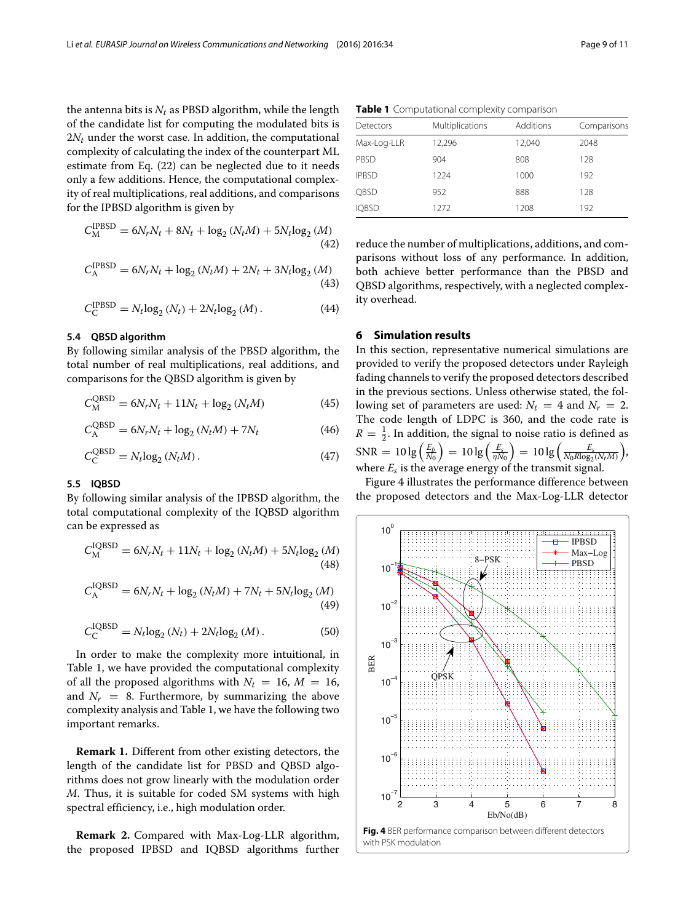the antenna bits is  $N_t$  as PBSD algorithm, while the length of the candidate list for computing the modulated bits is 2*Nt* under the worst case. In addition, the computational complexity of calculating the index of the counterpart ML estimate from Eq. [\(22\)](#page-5-3) can be neglected due to it needs only a few additions. Hence, the computational complexity of real multiplications, real additions, and comparisons for the IPBSD algorithm is given by

$$
C_{\rm M}^{\rm IPBSD} = 6N_rN_t + 8N_t + \log_2(N_tM) + 5N_t\log_2(M)
$$
\n(42)

$$
C_{\rm A}^{\rm IPBSD} = 6N_rN_t + \log_2(N_tM) + 2N_t + 3N_t\log_2(M)
$$
\n(43)

$$
C_{\text{C}}^{\text{IPBSD}} = N_t \text{log}_2 \left( N_t \right) + 2N_t \text{log}_2 \left( M \right). \tag{44}
$$

#### **5.4 QBSD algorithm**

By following similar analysis of the PBSD algorithm, the total number of real multiplications, real additions, and comparisons for the QBSD algorithm is given by

$$
C_{\rm M}^{\rm QBSD} = 6N_rN_t + 11N_t + \log_2(N_tM) \tag{45}
$$

$$
C_{\rm A}^{\rm QBSD} = 6N_r N_t + \log_2 (N_t M) + 7N_t \tag{46}
$$

$$
C_{\rm C}^{\rm QBSD} = N_t \log_2 \left( N_t M \right). \tag{47}
$$

#### **5.5 IQBSD**

By following similar analysis of the IPBSD algorithm, the total computational complexity of the IQBSD algorithm can be expressed as

$$
C_{\rm M}^{\rm IQBSD} = 6N_rN_t + 11N_t + \log_2(N_tM) + 5N_t\log_2(M)
$$
\n(48)

$$
C_{\rm A}^{\rm IQBSD} = 6N_rN_t + \log_2(N_tM) + 7N_t + 5N_t\log_2(M)
$$
\n(49)

$$
C_{\rm C}^{\rm IQBSD} = N_t \log_2 (N_t) + 2N_t \log_2 (M). \tag{50}
$$

In order to make the complexity more intuitional, in Table [1,](#page-8-1) we have provided the computational complexity of all the proposed algorithms with  $N_t = 16$ ,  $M = 16$ , and  $N_r = 8$ . Furthermore, by summarizing the above complexity analysis and Table [1,](#page-8-1) we have the following two important remarks.

**Remark 1.** Different from other existing detectors, the length of the candidate list for PBSD and QBSD algorithms does not grow linearly with the modulation order *M*. Thus, it is suitable for coded SM systems with high spectral efficiency, i.e., high modulation order.

<span id="page-8-2"></span>**Remark 2.** Compared with Max-Log-LLR algorithm, the proposed IPBSD and IQBSD algorithms further

|  | <b>Table 1</b> Computational complexity comparison |  |  |
|--|----------------------------------------------------|--|--|
|--|----------------------------------------------------|--|--|

<span id="page-8-1"></span>

| Detectors    | Multiplications | Additions | Comparisons |
|--------------|-----------------|-----------|-------------|
| Max-Log-LLR  | 12,296          | 12,040    | 2048        |
| PBSD         | 904             | 808       | 128         |
| <b>IPBSD</b> | 1224            | 1000      | 192         |
| QBSD         | 952             | 888       | 128         |
| <b>IQBSD</b> | 1272            | 1208      | 192         |

reduce the number of multiplications, additions, and comparisons without loss of any performance. In addition, both achieve better performance than the PBSD and QBSD algorithms, respectively, with a neglected complexity overhead.

#### <span id="page-8-0"></span>**6 Simulation results**

In this section, representative numerical simulations are provided to verify the proposed detectors under Rayleigh fading channels to verify the proposed detectors described in the previous sections. Unless otherwise stated, the following set of parameters are used:  $N_t = 4$  and  $N_r = 2$ . The code length of LDPC is 360, and the code rate is  $R = \frac{1}{2}$ . In addition, the signal to noise ratio is defined as  $SNR = 10 \lg \left( \frac{E_b}{N_0} \right)$  $= 10 \lg \left( \frac{E_s}{\eta N_0} \right)$  $\Big) = 10\lg\Big({\frac{E_s}{N_0R\text{log}_2(N_tM)}}\Big)$  , where  $E_s$  is the average energy of the transmit signal.

Figure [4](#page-8-2) illustrates the performance difference between the proposed detectors and the Max-Log-LLR detector

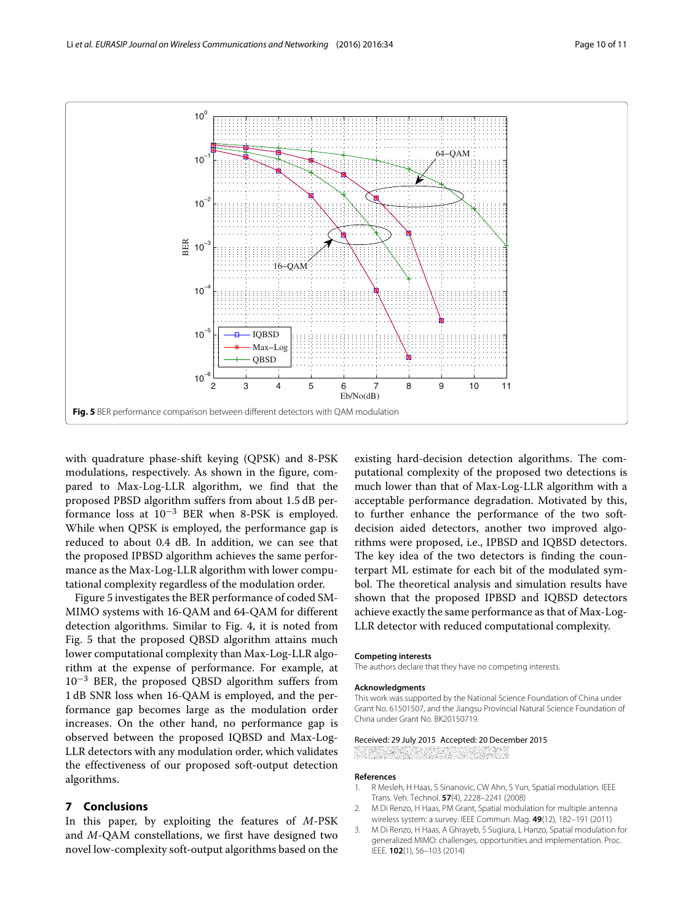

<span id="page-9-3"></span>with quadrature phase-shift keying (QPSK) and 8-PSK modulations, respectively. As shown in the figure, compared to Max-Log-LLR algorithm, we find that the proposed PBSD algorithm suffers from about 1.5 dB performance loss at  $10^{-3}$  BER when 8-PSK is employed. While when QPSK is employed, the performance gap is reduced to about 0.4 dB. In addition, we can see that the proposed IPBSD algorithm achieves the same performance as the Max-Log-LLR algorithm with lower computational complexity regardless of the modulation order.

Figure [5](#page-9-3) investigates the BER performance of coded SM-MIMO systems with 16-QAM and 64-QAM for different detection algorithms. Similar to Fig. [4,](#page-8-2) it is noted from Fig. [5](#page-9-3) that the proposed QBSD algorithm attains much lower computational complexity than Max-Log-LLR algorithm at the expense of performance. For example, at  $10^{-3}$  BER, the proposed QBSD algorithm suffers from 1 dB SNR loss when 16-QAM is employed, and the performance gap becomes large as the modulation order increases. On the other hand, no performance gap is observed between the proposed IQBSD and Max-Log-LLR detectors with any modulation order, which validates the effectiveness of our proposed soft-output detection algorithms.

### <span id="page-9-2"></span>**7 Conclusions**

In this paper, by exploiting the features of *M*-PSK and *M*-QAM constellations, we first have designed two novel low-complexity soft-output algorithms based on the

existing hard-decision detection algorithms. The computational complexity of the proposed two detections is much lower than that of Max-Log-LLR algorithm with a acceptable performance degradation. Motivated by this, to further enhance the performance of the two softdecision aided detectors, another two improved algorithms were proposed, i.e., IPBSD and IQBSD detectors. The key idea of the two detectors is finding the counterpart ML estimate for each bit of the modulated symbol. The theoretical analysis and simulation results have shown that the proposed IPBSD and IQBSD detectors achieve exactly the same performance as that of Max-Log-LLR detector with reduced computational complexity.

#### **Competing interests**

The authors declare that they have no competing interests.

#### **Acknowledgments**

This work was supported by the National Science Foundation of China under Grant No. 61501507, and the Jiangsu Provincial Natural Science Foundation of China under Grant No. BK20150719.

#### Received: 29 July 2015 Accepted: 20 December 2015

an an Dù 

#### **References**

- <span id="page-9-0"></span>1. R Mesleh, H Haas, S Sinanovic, CW Ahn, S Yun, Spatial modulation. IEEE Trans. Veh. Technol. **57**(4), 2228–2241 (2008)
- <span id="page-9-1"></span>2. M Di Renzo, H Haas, PM Grant, Spatial modulation for multiple antenna wireless system: a survey. IEEE Commun. Mag. **49**(12), 182–191 (2011)
- 3. M Di Renzo, H Haas, A Ghrayeb, S Sugiura, L Hanzo, Spatial modulation for generalized MIMO: challenges, opportunities and implementation. Proc. IEEE. **102**(1), 56–103 (2014)